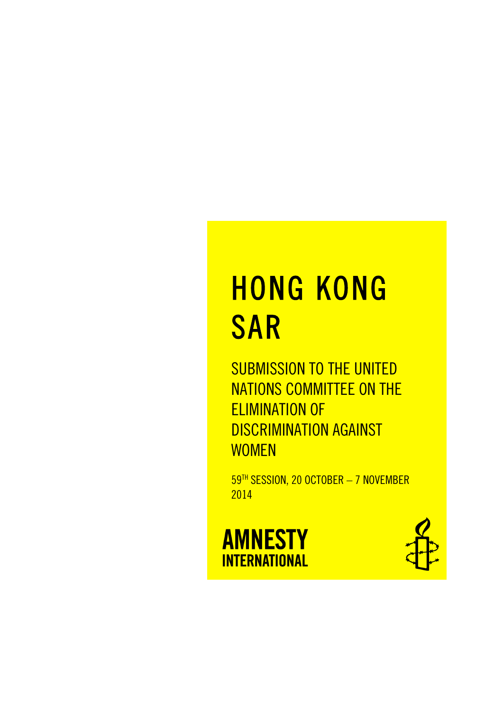# HONG KONG SAR

SUBMISSION TO THE UNITED NATIONS COMMITTEE ON THE ELIMINATION OF DISCRIMINATION AGAINST **WOMEN** 

59TH SESSION, 20 OCTOBER - 7 NOVEMBER 2014

**AMNESTY INTERNATIONAL** 

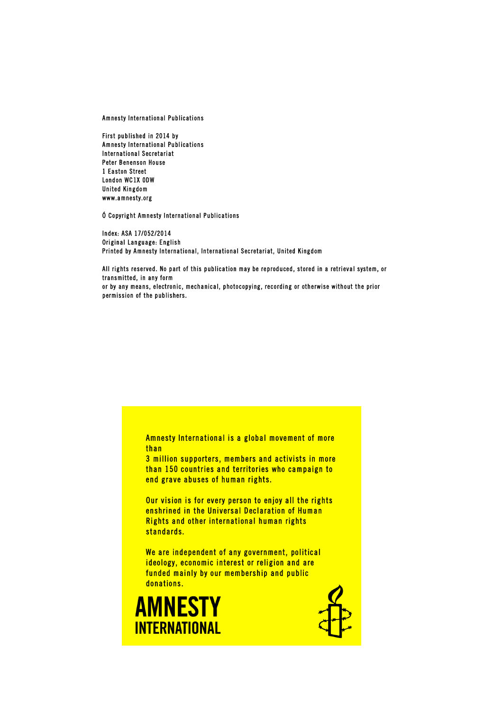Amnesty International Publications

First published in 2014 by Amnesty International Publications International Secretariat Peter Benenson House 1 Easton Street London WC1X 0DW United Kingdom www.amnesty.org

Ó Copyright Amnesty International Publications

Index: ASA 17/052/2014 Original Language: English Printed by Amnesty International, International Secretariat, United Kingdom

All rights reserved. No part of this publication may be reproduced, stored in a retrieval system, or transmitted, in any form or by any means, electronic, mechanical, photocopying, recording or otherwise without the prior permission of the publishers.

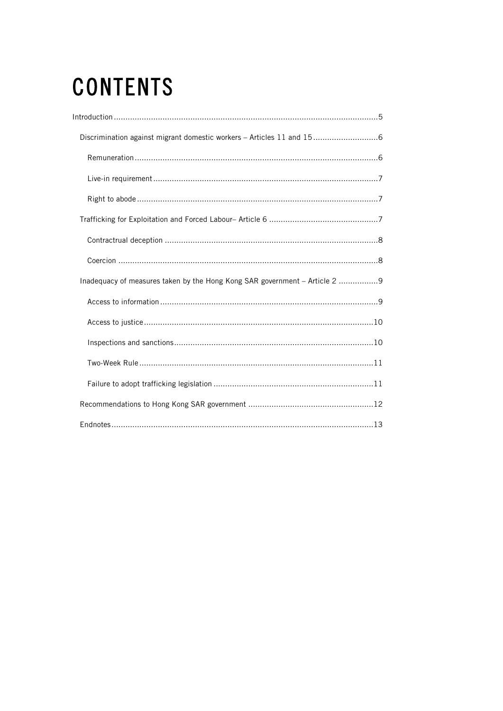# **CONTENTS**

| Discrimination against migrant domestic workers - Articles 11 and 156       |
|-----------------------------------------------------------------------------|
|                                                                             |
|                                                                             |
|                                                                             |
|                                                                             |
|                                                                             |
|                                                                             |
| Inadequacy of measures taken by the Hong Kong SAR government - Article 2  9 |
|                                                                             |
|                                                                             |
|                                                                             |
|                                                                             |
|                                                                             |
|                                                                             |
|                                                                             |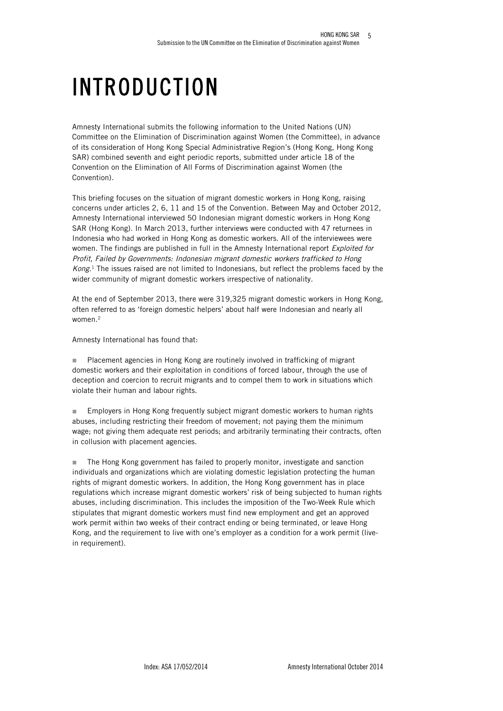# INTRODUCTION

Amnesty International submits the following information to the United Nations (UN) Committee on the Elimination of Discrimination against Women (the Committee), in advance of its consideration of Hong Kong Special Administrative Region's (Hong Kong, Hong Kong SAR) combined seventh and eight periodic reports, submitted under article 18 of the Convention on the Elimination of All Forms of Discrimination against Women (the Convention).

This briefing focuses on the situation of migrant domestic workers in Hong Kong, raising concerns under articles 2, 6, 11 and 15 of the Convention. Between May and October 2012, Amnesty International interviewed 50 Indonesian migrant domestic workers in Hong Kong SAR (Hong Kong). In March 2013, further interviews were conducted with 47 returnees in Indonesia who had worked in Hong Kong as domestic workers. All of the interviewees were women. The findings are published in full in the Amnesty International report *Exploited for* Profit, Failed by Governments: Indonesian migrant domestic workers trafficked to Hong  $Kong<sup>1</sup>$ . The issues raised are not limited to Indonesians, but reflect the problems faced by the wider community of migrant domestic workers irrespective of nationality.

At the end of September 2013, there were 319,325 migrant domestic workers in Hong Kong, often referred to as 'foreign domestic helpers' about half were Indonesian and nearly all women.<sup>2</sup>

Amnesty International has found that:

■ Placement agencies in Hong Kong are routinely involved in trafficking of migrant domestic workers and their exploitation in conditions of forced labour, through the use of deception and coercion to recruit migrants and to compel them to work in situations which violate their human and labour rights.

n Employers in Hong Kong frequently subject migrant domestic workers to human rights abuses, including restricting their freedom of movement; not paying them the minimum wage; not giving them adequate rest periods; and arbitrarily terminating their contracts, often in collusion with placement agencies.

**n** The Hong Kong government has failed to properly monitor, investigate and sanction individuals and organizations which are violating domestic legislation protecting the human rights of migrant domestic workers. In addition, the Hong Kong government has in place regulations which increase migrant domestic workers' risk of being subjected to human rights abuses, including discrimination. This includes the imposition of the Two-Week Rule which stipulates that migrant domestic workers must find new employment and get an approved work permit within two weeks of their contract ending or being terminated, or leave Hong Kong, and the requirement to live with one's employer as a condition for a work permit (livein requirement).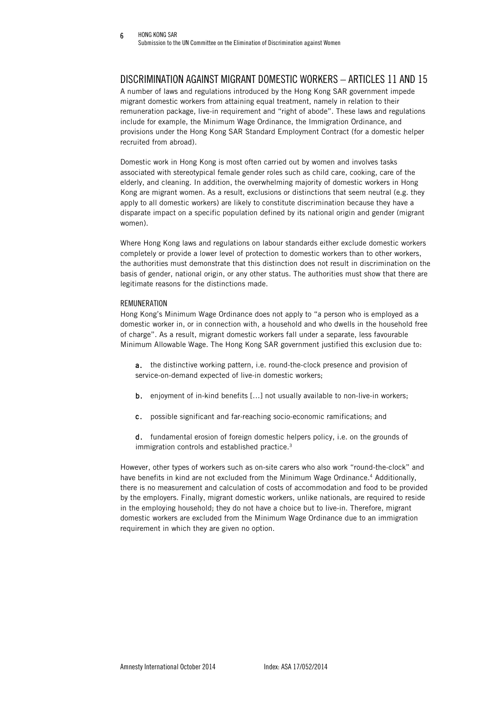# DISCRIMINATION AGAINST MIGRANT DOMESTIC WORKERS – ARTICLES 11 AND 15

A number of laws and regulations introduced by the Hong Kong SAR government impede migrant domestic workers from attaining equal treatment, namely in relation to their remuneration package, live-in requirement and "right of abode". These laws and regulations include for example, the Minimum Wage Ordinance, the Immigration Ordinance, and provisions under the Hong Kong SAR Standard Employment Contract (for a domestic helper recruited from abroad).

Domestic work in Hong Kong is most often carried out by women and involves tasks associated with stereotypical female gender roles such as child care, cooking, care of the elderly, and cleaning. In addition, the overwhelming majority of domestic workers in Hong Kong are migrant women. As a result, exclusions or distinctions that seem neutral (e.g. they apply to all domestic workers) are likely to constitute discrimination because they have a disparate impact on a specific population defined by its national origin and gender (migrant women).

Where Hong Kong laws and regulations on labour standards either exclude domestic workers completely or provide a lower level of protection to domestic workers than to other workers, the authorities must demonstrate that this distinction does not result in discrimination on the basis of gender, national origin, or any other status. The authorities must show that there are legitimate reasons for the distinctions made.

# REMUNERATION

Hong Kong's Minimum Wage Ordinance does not apply to "a person who is employed as a domestic worker in, or in connection with, a household and who dwells in the household free of charge". As a result, migrant domestic workers fall under a separate, less favourable Minimum Allowable Wage. The Hong Kong SAR government justified this exclusion due to:

a. the distinctive working pattern, i.e. round-the-clock presence and provision of service-on-demand expected of live-in domestic workers;

- b. enjoyment of in-kind benefits […] not usually available to non-live-in workers;
- c. possible significant and far-reaching socio-economic ramifications; and
- d. fundamental erosion of foreign domestic helpers policy, i.e. on the grounds of immigration controls and established practice.<sup>3</sup>

However, other types of workers such as on-site carers who also work "round-the-clock" and have benefits in kind are not excluded from the Minimum Wage Ordinance.4 Additionally, there is no measurement and calculation of costs of accommodation and food to be provided by the employers. Finally, migrant domestic workers, unlike nationals, are required to reside in the employing household; they do not have a choice but to live-in. Therefore, migrant domestic workers are excluded from the Minimum Wage Ordinance due to an immigration requirement in which they are given no option.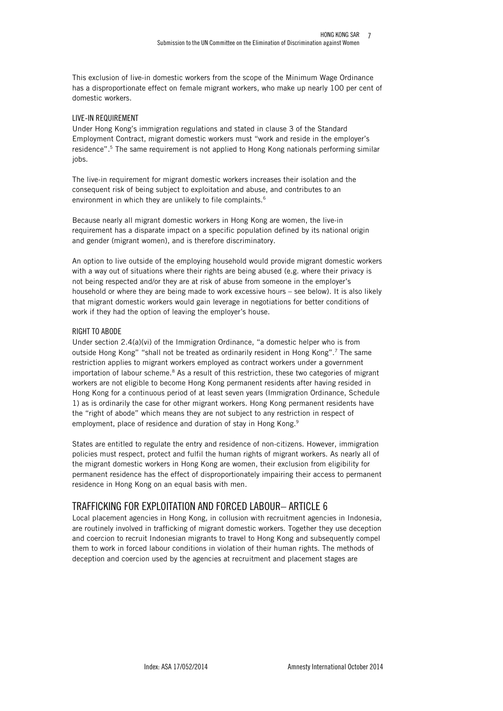This exclusion of live-in domestic workers from the scope of the Minimum Wage Ordinance has a disproportionate effect on female migrant workers, who make up nearly 100 per cent of domestic workers.

## LIVE-IN REQUIREMENT

Under Hong Kong's immigration regulations and stated in clause 3 of the Standard Employment Contract, migrant domestic workers must "work and reside in the employer's residence". <sup>5</sup> The same requirement is not applied to Hong Kong nationals performing similar jobs.

The live-in requirement for migrant domestic workers increases their isolation and the consequent risk of being subject to exploitation and abuse, and contributes to an environment in which they are unlikely to file complaints.<sup>6</sup>

Because nearly all migrant domestic workers in Hong Kong are women, the live-in requirement has a disparate impact on a specific population defined by its national origin and gender (migrant women), and is therefore discriminatory.

An option to live outside of the employing household would provide migrant domestic workers with a way out of situations where their rights are being abused (e.g. where their privacy is not being respected and/or they are at risk of abuse from someone in the employer's household or where they are being made to work excessive hours – see below). It is also likely that migrant domestic workers would gain leverage in negotiations for better conditions of work if they had the option of leaving the employer's house.

# RIGHT TO ABODE

Under section 2.4(a)(vi) of the Immigration Ordinance, "a domestic helper who is from outside Hong Kong" "shall not be treated as ordinarily resident in Hong Kong".7 The same restriction applies to migrant workers employed as contract workers under a government importation of labour scheme.<sup>8</sup> As a result of this restriction, these two categories of migrant workers are not eligible to become Hong Kong permanent residents after having resided in Hong Kong for a continuous period of at least seven years (Immigration Ordinance, Schedule 1) as is ordinarily the case for other migrant workers. Hong Kong permanent residents have the "right of abode" which means they are not subject to any restriction in respect of employment, place of residence and duration of stay in Hong Kong.<sup>9</sup>

States are entitled to regulate the entry and residence of non-citizens. However, immigration policies must respect, protect and fulfil the human rights of migrant workers. As nearly all of the migrant domestic workers in Hong Kong are women, their exclusion from eligibility for permanent residence has the effect of disproportionately impairing their access to permanent residence in Hong Kong on an equal basis with men.

# TRAFFICKING FOR EXPLOITATION AND FORCED LABOUR– ARTICLE 6

Local placement agencies in Hong Kong, in collusion with recruitment agencies in Indonesia, are routinely involved in trafficking of migrant domestic workers. Together they use deception and coercion to recruit Indonesian migrants to travel to Hong Kong and subsequently compel them to work in forced labour conditions in violation of their human rights. The methods of deception and coercion used by the agencies at recruitment and placement stages are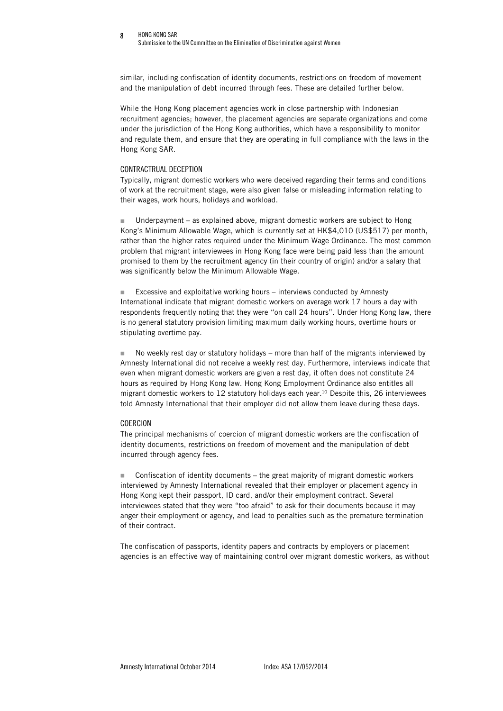#### HONG KONG SAR 8

Submission to the UN Committee on the Elimination of Discrimination against Women

similar, including confiscation of identity documents, restrictions on freedom of movement and the manipulation of debt incurred through fees. These are detailed further below.

While the Hong Kong placement agencies work in close partnership with Indonesian recruitment agencies; however, the placement agencies are separate organizations and come under the jurisdiction of the Hong Kong authorities, which have a responsibility to monitor and regulate them, and ensure that they are operating in full compliance with the laws in the Hong Kong SAR.

#### CONTRACTRUAL DECEPTION

Typically, migrant domestic workers who were deceived regarding their terms and conditions of work at the recruitment stage, were also given false or misleading information relating to their wages, work hours, holidays and workload.

**n** Underpayment – as explained above, migrant domestic workers are subject to Hong Kong's Minimum Allowable Wage, which is currently set at HK\$4,010 (US\$517) per month, rather than the higher rates required under the Minimum Wage Ordinance. The most common problem that migrant interviewees in Hong Kong face were being paid less than the amount promised to them by the recruitment agency (in their country of origin) and/or a salary that was significantly below the Minimum Allowable Wage.

 $\blacksquare$  Excessive and exploitative working hours – interviews conducted by Amnesty International indicate that migrant domestic workers on average work 17 hours a day with respondents frequently noting that they were "on call 24 hours". Under Hong Kong law, there is no general statutory provision limiting maximum daily working hours, overtime hours or stipulating overtime pay.

No weekly rest day or statutory holidays – more than half of the migrants interviewed by Amnesty International did not receive a weekly rest day. Furthermore, interviews indicate that even when migrant domestic workers are given a rest day, it often does not constitute 24 hours as required by Hong Kong law. Hong Kong Employment Ordinance also entitles all migrant domestic workers to 12 statutory holidays each year.10 Despite this, 26 interviewees told Amnesty International that their employer did not allow them leave during these days.

### COERCION

The principal mechanisms of coercion of migrant domestic workers are the confiscation of identity documents, restrictions on freedom of movement and the manipulation of debt incurred through agency fees.

 $\Box$  Confiscation of identity documents – the great majority of migrant domestic workers interviewed by Amnesty International revealed that their employer or placement agency in Hong Kong kept their passport, ID card, and/or their employment contract. Several interviewees stated that they were "too afraid" to ask for their documents because it may anger their employment or agency, and lead to penalties such as the premature termination of their contract.

The confiscation of passports, identity papers and contracts by employers or placement agencies is an effective way of maintaining control over migrant domestic workers, as without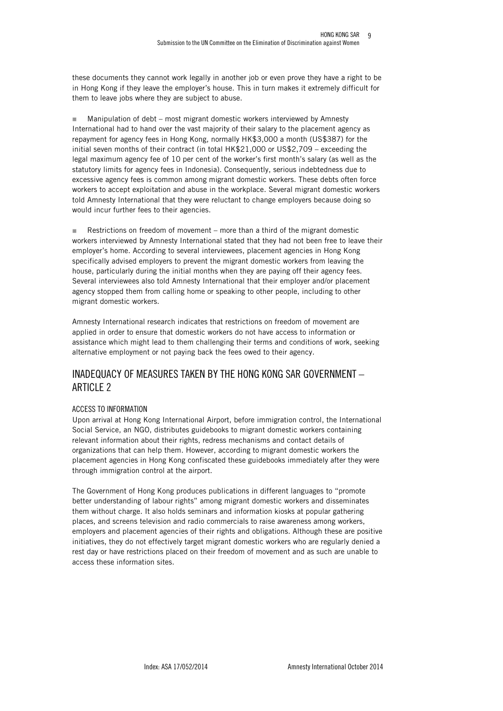9

these documents they cannot work legally in another job or even prove they have a right to be in Hong Kong if they leave the employer's house. This in turn makes it extremely difficult for them to leave jobs where they are subject to abuse.

 $\blacksquare$  Manipulation of debt – most migrant domestic workers interviewed by Amnesty International had to hand over the vast majority of their salary to the placement agency as repayment for agency fees in Hong Kong, normally HK\$3,000 a month (US\$387) for the initial seven months of their contract (in total HK\$21,000 or US\$2,709 – exceeding the legal maximum agency fee of 10 per cent of the worker's first month's salary (as well as the statutory limits for agency fees in Indonesia). Consequently, serious indebtedness due to excessive agency fees is common among migrant domestic workers. These debts often force workers to accept exploitation and abuse in the workplace. Several migrant domestic workers told Amnesty International that they were reluctant to change employers because doing so would incur further fees to their agencies.

Restrictions on freedom of movement – more than a third of the migrant domestic workers interviewed by Amnesty International stated that they had not been free to leave their employer's home. According to several interviewees, placement agencies in Hong Kong specifically advised employers to prevent the migrant domestic workers from leaving the house, particularly during the initial months when they are paying off their agency fees. Several interviewees also told Amnesty International that their employer and/or placement agency stopped them from calling home or speaking to other people, including to other migrant domestic workers.

Amnesty International research indicates that restrictions on freedom of movement are applied in order to ensure that domestic workers do not have access to information or assistance which might lead to them challenging their terms and conditions of work, seeking alternative employment or not paying back the fees owed to their agency.

# INADEQUACY OF MEASURES TAKEN BY THE HONG KONG SAR GOVERNMENT – ARTICLE 2

# ACCESS TO INFORMATION

Upon arrival at Hong Kong International Airport, before immigration control, the International Social Service, an NGO, distributes guidebooks to migrant domestic workers containing relevant information about their rights, redress mechanisms and contact details of organizations that can help them. However, according to migrant domestic workers the placement agencies in Hong Kong confiscated these guidebooks immediately after they were through immigration control at the airport.

The Government of Hong Kong produces publications in different languages to "promote better understanding of labour rights" among migrant domestic workers and disseminates them without charge. It also holds seminars and information kiosks at popular gathering places, and screens television and radio commercials to raise awareness among workers, employers and placement agencies of their rights and obligations. Although these are positive initiatives, they do not effectively target migrant domestic workers who are regularly denied a rest day or have restrictions placed on their freedom of movement and as such are unable to access these information sites.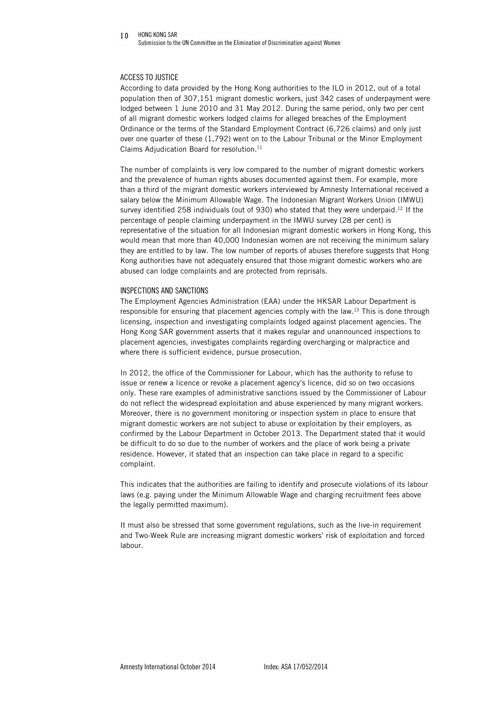#### HONG KONG SAR Submission to the UN Committee on the Elimination of Discrimination against Women  $10$

### ACCESS TO JUSTICE

According to data provided by the Hong Kong authorities to the ILO in 2012, out of a total population then of 307,151 migrant domestic workers, just 342 cases of underpayment were lodged between 1 June 2010 and 31 May 2012. During the same period, only two per cent of all migrant domestic workers lodged claims for alleged breaches of the Employment Ordinance or the terms of the Standard Employment Contract (6,726 claims) and only just over one quarter of these (1,792) went on to the Labour Tribunal or the Minor Employment Claims Adjudication Board for resolution.<sup>11</sup>

The number of complaints is very low compared to the number of migrant domestic workers and the prevalence of human rights abuses documented against them. For example, more than a third of the migrant domestic workers interviewed by Amnesty International received a salary below the Minimum Allowable Wage. The Indonesian Migrant Workers Union (IMWU) survey identified 258 individuals (out of 930) who stated that they were underpaid.<sup>12</sup> If the percentage of people claiming underpayment in the IMWU survey (28 per cent) is representative of the situation for all Indonesian migrant domestic workers in Hong Kong, this would mean that more than 40,000 Indonesian women are not receiving the minimum salary they are entitled to by law. The low number of reports of abuses therefore suggests that Hong Kong authorities have not adequately ensured that those migrant domestic workers who are abused can lodge complaints and are protected from reprisals.

#### INSPECTIONS AND SANCTIONS

The Employment Agencies Administration (EAA) under the HKSAR Labour Department is responsible for ensuring that placement agencies comply with the law.<sup>13</sup> This is done through licensing, inspection and investigating complaints lodged against placement agencies. The Hong Kong SAR government asserts that it makes regular and unannounced inspections to placement agencies, investigates complaints regarding overcharging or malpractice and where there is sufficient evidence, pursue prosecution.

In 2012, the office of the Commissioner for Labour, which has the authority to refuse to issue or renew a licence or revoke a placement agency's licence, did so on two occasions only. These rare examples of administrative sanctions issued by the Commissioner of Labour do not reflect the widespread exploitation and abuse experienced by many migrant workers. Moreover, there is no government monitoring or inspection system in place to ensure that migrant domestic workers are not subject to abuse or exploitation by their employers, as confirmed by the Labour Department in October 2013. The Department stated that it would be difficult to do so due to the number of workers and the place of work being a private residence. However, it stated that an inspection can take place in regard to a specific complaint.

This indicates that the authorities are failing to identify and prosecute violations of its labour laws (e.g. paying under the Minimum Allowable Wage and charging recruitment fees above the legally permitted maximum).

It must also be stressed that some government regulations, such as the live-in requirement and Two-Week Rule are increasing migrant domestic workers' risk of exploitation and forced labour.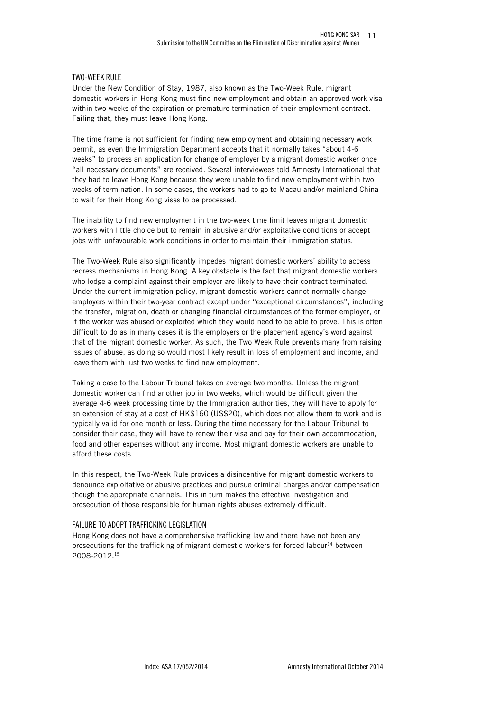## TWO-WEEK RULE

Under the New Condition of Stay, 1987, also known as the Two-Week Rule, migrant domestic workers in Hong Kong must find new employment and obtain an approved work visa within two weeks of the expiration or premature termination of their employment contract. Failing that, they must leave Hong Kong.

The time frame is not sufficient for finding new employment and obtaining necessary work permit, as even the Immigration Department accepts that it normally takes "about 4-6 weeks" to process an application for change of employer by a migrant domestic worker once "all necessary documents" are received. Several interviewees told Amnesty International that they had to leave Hong Kong because they were unable to find new employment within two weeks of termination. In some cases, the workers had to go to Macau and/or mainland China to wait for their Hong Kong visas to be processed.

The inability to find new employment in the two-week time limit leaves migrant domestic workers with little choice but to remain in abusive and/or exploitative conditions or accept jobs with unfavourable work conditions in order to maintain their immigration status.

The Two-Week Rule also significantly impedes migrant domestic workers' ability to access redress mechanisms in Hong Kong. A key obstacle is the fact that migrant domestic workers who lodge a complaint against their employer are likely to have their contract terminated. Under the current immigration policy, migrant domestic workers cannot normally change employers within their two-year contract except under "exceptional circumstances", including the transfer, migration, death or changing financial circumstances of the former employer, or if the worker was abused or exploited which they would need to be able to prove. This is often difficult to do as in many cases it is the employers or the placement agency's word against that of the migrant domestic worker. As such, the Two Week Rule prevents many from raising issues of abuse, as doing so would most likely result in loss of employment and income, and leave them with just two weeks to find new employment.

Taking a case to the Labour Tribunal takes on average two months. Unless the migrant domestic worker can find another job in two weeks, which would be difficult given the average 4-6 week processing time by the Immigration authorities, they will have to apply for an extension of stay at a cost of HK\$160 (US\$20), which does not allow them to work and is typically valid for one month or less. During the time necessary for the Labour Tribunal to consider their case, they will have to renew their visa and pay for their own accommodation, food and other expenses without any income. Most migrant domestic workers are unable to afford these costs.

In this respect, the Two-Week Rule provides a disincentive for migrant domestic workers to denounce exploitative or abusive practices and pursue criminal charges and/or compensation though the appropriate channels. This in turn makes the effective investigation and prosecution of those responsible for human rights abuses extremely difficult.

### FAILURE TO ADOPT TRAFFICKING LEGISLATION

Hong Kong does not have a comprehensive trafficking law and there have not been any prosecutions for the trafficking of migrant domestic workers for forced labour<sup>14</sup> between 2008-2012.15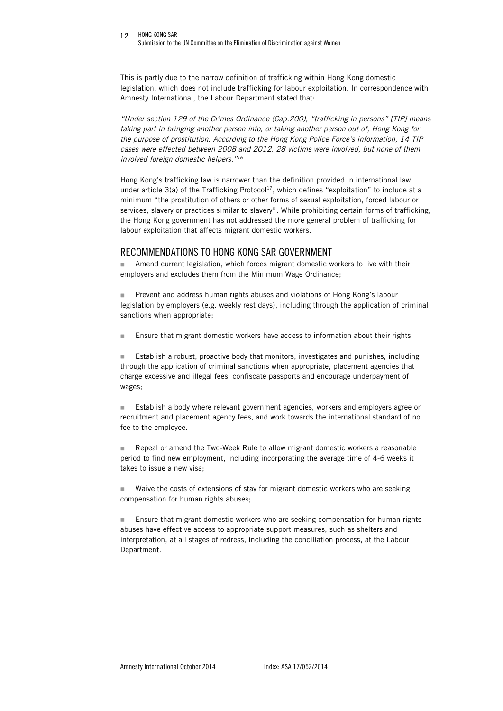#### 12 HONG KONG SAR Submission to the UN Committee on the Elimination of Discrimination against Women

This is partly due to the narrow definition of trafficking within Hong Kong domestic legislation, which does not include trafficking for labour exploitation. In correspondence with Amnesty International, the Labour Department stated that:

"Under section 129 of the Crimes Ordinance (Cap.200), "trafficking in persons" [TIP] means taking part in bringing another person into, or taking another person out of, Hong Kong for the purpose of prostitution. According to the Hong Kong Police Force's information, 14 TIP cases were effected between 2008 and 2012. 28 victims were involved, but none of them involved foreign domestic helpers."16

Hong Kong's trafficking law is narrower than the definition provided in international law under article  $3(a)$  of the Trafficking Protocol<sup>17</sup>, which defines "exploitation" to include at a minimum "the prostitution of others or other forms of sexual exploitation, forced labour or services, slavery or practices similar to slavery". While prohibiting certain forms of trafficking, the Hong Kong government has not addressed the more general problem of trafficking for labour exploitation that affects migrant domestic workers.

# RECOMMENDATIONS TO HONG KONG SAR GOVERNMENT

Amend current legislation, which forces migrant domestic workers to live with their employers and excludes them from the Minimum Wage Ordinance;

**n** Prevent and address human rights abuses and violations of Hong Kong's labour legislation by employers (e.g. weekly rest days), including through the application of criminal sanctions when appropriate;

**Ensure that migrant domestic workers have access to information about their rights;** 

■ Establish a robust, proactive body that monitors, investigates and punishes, including through the application of criminal sanctions when appropriate, placement agencies that charge excessive and illegal fees, confiscate passports and encourage underpayment of wages;

Establish a body where relevant government agencies, workers and employers agree on recruitment and placement agency fees, and work towards the international standard of no fee to the employee.

n Repeal or amend the Two-Week Rule to allow migrant domestic workers a reasonable period to find new employment, including incorporating the average time of 4-6 weeks it takes to issue a new visa;

**Net Waive the costs of extensions of stay for migrant domestic workers who are seeking** compensation for human rights abuses;

 $\blacksquare$  Ensure that migrant domestic workers who are seeking compensation for human rights abuses have effective access to appropriate support measures, such as shelters and interpretation, at all stages of redress, including the conciliation process, at the Labour Department.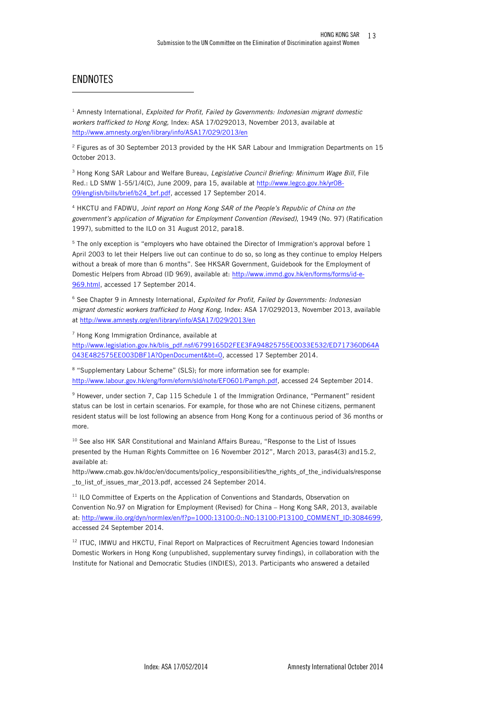# ENDNOTES

-

 $1$  Amnesty International, Exploited for Profit, Failed by Governments: Indonesian migrant domestic workers trafficked to Hong Kong, Index: ASA 17/0292013, November 2013, available at http://www.amnesty.org/en/library/info/ASA17/029/2013/en

 $2$  Figures as of 30 September 2013 provided by the HK SAR Labour and Immigration Departments on 15 October 2013.

<sup>3</sup> Hong Kong SAR Labour and Welfare Bureau, *Legislative Council Briefing: Minimum Wage Bill*, File Red.: LD SMW 1-55/1/4(C), June 2009, para 15, available at http://www.legco.gov.hk/yr08- 09/english/bills/brief/b24\_brf.pdf, accessed 17 September 2014.

<sup>4</sup> HKCTU and FADWU, Joint report on Hong Kong SAR of the People's Republic of China on the government's application of Migration for Employment Convention (Revised), 1949 (No. 97) (Ratification 1997), submitted to the ILO on 31 August 2012, para18.

<sup>5</sup> The only exception is "employers who have obtained the Director of Immigration's approval before 1 April 2003 to let their Helpers live out can continue to do so, so long as they continue to employ Helpers without a break of more than 6 months". See HKSAR Government, Guidebook for the Employment of Domestic Helpers from Abroad (ID 969), available at: http://www.immd.gov.hk/en/forms/forms/id-e-969.html, accessed 17 September 2014.

<sup>6</sup> See Chapter 9 in Amnesty International, Exploited for Profit, Failed by Governments: Indonesian migrant domestic workers trafficked to Hong Kong, Index: ASA 17/0292013, November 2013, available at http://www.amnesty.org/en/library/info/ASA17/029/2013/en

<sup>7</sup> Hong Kong Immigration Ordinance, available at

http://www.legislation.gov.hk/blis\_pdf.nsf/6799165D2FEE3FA94825755E0033E532/ED717360D64A 043E482575EE003DBF1A?OpenDocument&bt=0, accessed 17 September 2014.

<sup>8</sup> "Supplementary Labour Scheme" (SLS); for more information see for example: http://www.labour.gov.hk/eng/form/eform/sld/note/EF0601/Pamph.pdf, accessed 24 September 2014.

<sup>9</sup> However, under section 7, Cap 115 Schedule 1 of the Immigration Ordinance, "Permanent" resident status can be lost in certain scenarios. For example, for those who are not Chinese citizens, permanent resident status will be lost following an absence from Hong Kong for a continuous period of 36 months or more.

<sup>10</sup> See also HK SAR Constitutional and Mainland Affairs Bureau, "Response to the List of Issues presented by the Human Rights Committee on 16 November 2012", March 2013, paras4(3) and15.2, available at:

http://www.cmab.gov.hk/doc/en/documents/policy\_responsibilities/the\_rights\_of\_the\_individuals/response \_to\_list\_of\_issues\_mar\_2013.pdf, accessed 24 September 2014.

<sup>11</sup> ILO Committee of Experts on the Application of Conventions and Standards, Observation on Convention No.97 on Migration for Employment (Revised) for China – Hong Kong SAR, 2013, available at: http://www.ilo.org/dyn/normlex/en/f?p=1000:13100:0::NO:13100:P13100\_COMMENT\_ID:3084699, accessed 24 September 2014.

 $12$  ITUC, IMWU and HKCTU, Final Report on Malpractices of Recruitment Agencies toward Indonesian Domestic Workers in Hong Kong (unpublished, supplementary survey findings), in collaboration with the Institute for National and Democratic Studies (INDIES), 2013. Participants who answered a detailed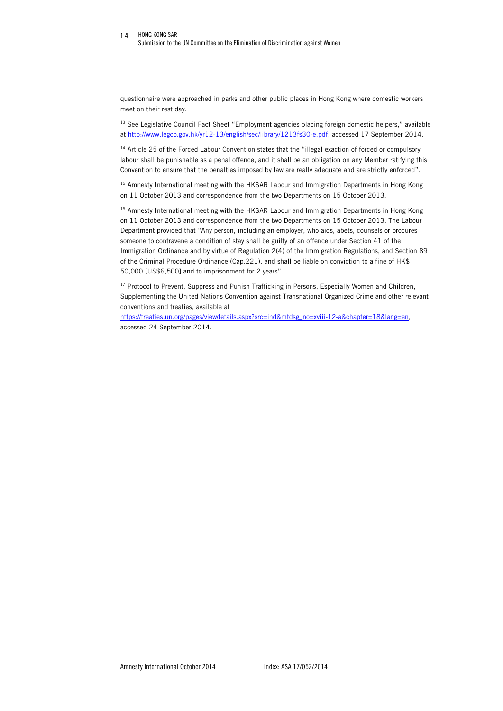-

questionnaire were approached in parks and other public places in Hong Kong where domestic workers meet on their rest day.

<sup>13</sup> See Legislative Council Fact Sheet "Employment agencies placing foreign domestic helpers," available at http://www.legco.gov.hk/yr12-13/english/sec/library/1213fs30-e.pdf, accessed 17 September 2014.

<sup>14</sup> Article 25 of the Forced Labour Convention states that the "illegal exaction of forced or compulsory labour shall be punishable as a penal offence, and it shall be an obligation on any Member ratifying this Convention to ensure that the penalties imposed by law are really adequate and are strictly enforced".

<sup>15</sup> Amnesty International meeting with the HKSAR Labour and Immigration Departments in Hong Kong on 11 October 2013 and correspondence from the two Departments on 15 October 2013.

<sup>16</sup> Amnesty International meeting with the HKSAR Labour and Immigration Departments in Hong Kong on 11 October 2013 and correspondence from the two Departments on 15 October 2013. The Labour Department provided that "Any person, including an employer, who aids, abets, counsels or procures someone to contravene a condition of stay shall be guilty of an offence under Section 41 of the Immigration Ordinance and by virtue of Regulation 2(4) of the Immigration Regulations, and Section 89 of the Criminal Procedure Ordinance (Cap.221), and shall be liable on conviction to a fine of HK\$ 50,000 [US\$6,500] and to imprisonment for 2 years".

<sup>17</sup> Protocol to Prevent, Suppress and Punish Trafficking in Persons, Especially Women and Children, Supplementing the United Nations Convention against Transnational Organized Crime and other relevant conventions and treaties, available at

https://treaties.un.org/pages/viewdetails.aspx?src=ind&mtdsg\_no=xviii-12-a&chapter=18&lang=en, accessed 24 September 2014.